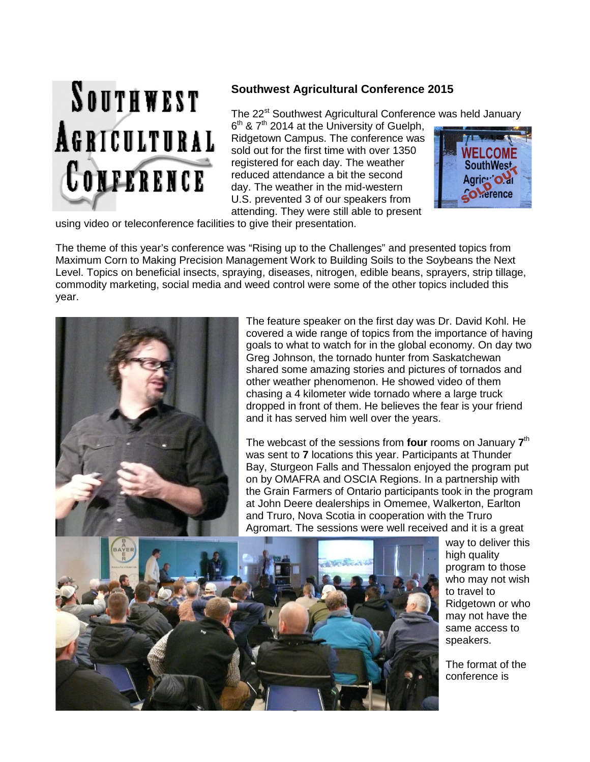

## **Southwest Agricultural Conference 2015**

The 22<sup>st</sup> Southwest Agricultural Conference was held January

 $6<sup>th</sup>$  &  $7<sup>th</sup>$  2014 at the University of Guelph, Ridgetown Campus. The conference was sold out for the first time with over 1350 registered for each day. The weather reduced attendance a bit the second day. The weather in the mid-western U.S. prevented 3 of our speakers from attending. They were still able to present



using video or teleconference facilities to give their presentation.

The theme of this year's conference was "Rising up to the Challenges" and presented topics from Maximum Corn to Making Precision Management Work to Building Soils to the Soybeans the Next Level. Topics on beneficial insects, spraying, diseases, nitrogen, edible beans, sprayers, strip tillage, commodity marketing, social media and weed control were some of the other topics included this year.



The feature speaker on the first day was Dr. David Kohl. He covered a wide range of topics from the importance of having goals to what to watch for in the global economy. On day two Greg Johnson, the tornado hunter from Saskatchewan shared some amazing stories and pictures of tornados and other weather phenomenon. He showed video of them chasing a 4 kilometer wide tornado where a large truck dropped in front of them. He believes the fear is your friend and it has served him well over the years.

The webcast of the sessions from **four** rooms on January **7**th was sent to **7** locations this year. Participants at Thunder Bay, Sturgeon Falls and Thessalon enjoyed the program put on by OMAFRA and OSCIA Regions. In a partnership with the Grain Farmers of Ontario participants took in the program at John Deere dealerships in Omemee, Walkerton, Earlton and Truro, Nova Scotia in cooperation with the Truro Agromart. The sessions were well received and it is a great



way to deliver this high quality program to those who may not wish to travel to Ridgetown or who may not have the same access to speakers.

The format of the conference is